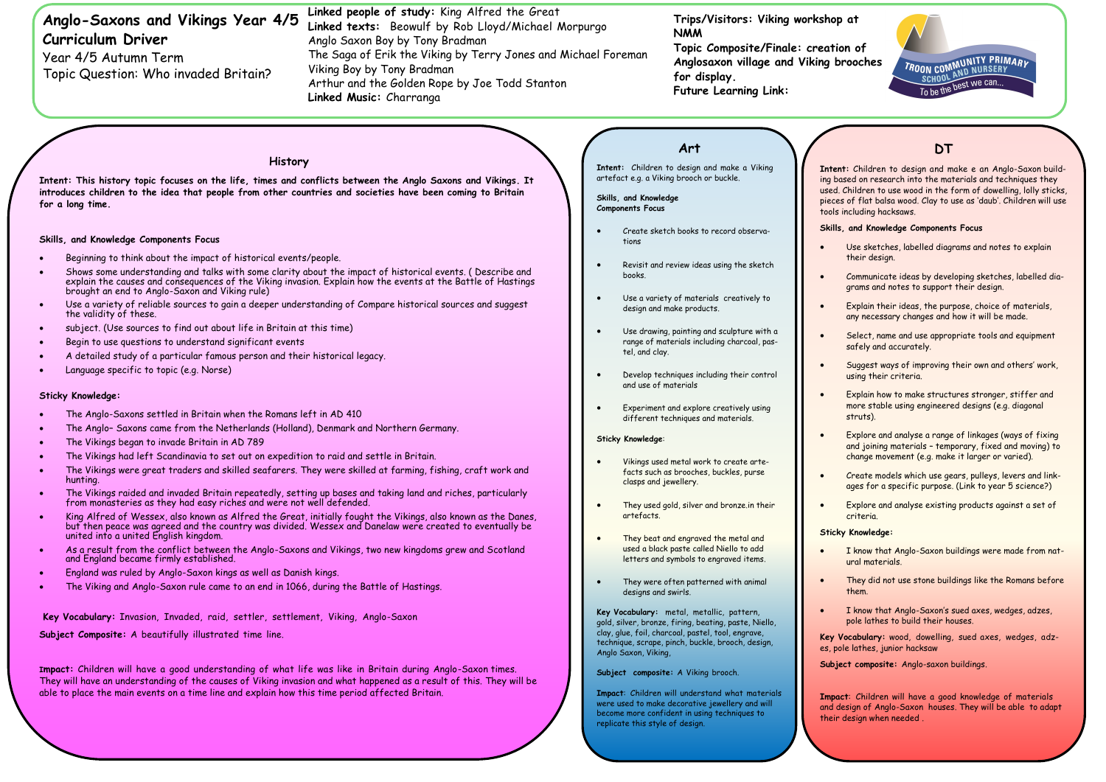- They used gold, silver and bronze in their artefacts.
- They beat and engraved the metal and used a black paste called Niello to add letters and symbols to engraved items.
- They were often patterned with animal designs and swirls.

**Sticky Knowledge**:

#### Vikings used metal work to create artefacts such as brooches, buckles, purse clasps and jewellery.

**Intent:** Children to design and make e an Anglo-Saxon buildased on research into the materials and techniques they Children to use wood in the form of dowelling, lolly sticks, is of flat balsa wood. Clay to use as 'daub'. Children will use including hacksaws.

#### **S**, and Knowledge Components Focus

**Key Vocabulary:** metal, metallic, pattern, gold, silver, bronze, firing, beating, paste, Niello, clay, glue, foil, charcoal, pastel, tool, engrave, technique, scrape, pinch, buckle, brooch, design, Anglo Saxon, Viking,

Subject composite: A Viking brooch.

**Impact**: Children will understand what materials were used to make decorative jewellery and will become more confident in using techniques to replicate this style of design.



# **DT**

| Anglo-Saxons and Vikings Year 4/5<br><b>Curriculum Driver</b><br>Year 4/5 Autumn Term<br>Topic Question: Who invaded Britain?                                                                                                                                                                       |                                                                                                                                                                                                                                                                                                                                                 | Linked people of study: King Alfred the Great<br>Linked texts: Beowulf by Rob Lloyd/Michael Morpurgo<br>Anglo Saxon Boy by Tony Bradman<br>The Saga of Erik the Viking by Terry Jones and Michael Foreman<br>Viking Boy by Tony Bradman<br>Arthur and the Golden Rope by Joe Todd Stanton<br>Linked Music: Charranga |                                                                                                                                                                                        | Trips/Visitors: Viking workshop at<br><b>NMM</b><br>Topic Composite/Finale: creation of<br>Anglosaxon village and Viking brood<br>for display.<br><b>Future Learning Link:</b> |                                                                                        |
|-----------------------------------------------------------------------------------------------------------------------------------------------------------------------------------------------------------------------------------------------------------------------------------------------------|-------------------------------------------------------------------------------------------------------------------------------------------------------------------------------------------------------------------------------------------------------------------------------------------------------------------------------------------------|----------------------------------------------------------------------------------------------------------------------------------------------------------------------------------------------------------------------------------------------------------------------------------------------------------------------|----------------------------------------------------------------------------------------------------------------------------------------------------------------------------------------|--------------------------------------------------------------------------------------------------------------------------------------------------------------------------------|----------------------------------------------------------------------------------------|
|                                                                                                                                                                                                                                                                                                     |                                                                                                                                                                                                                                                                                                                                                 |                                                                                                                                                                                                                                                                                                                      |                                                                                                                                                                                        | Art                                                                                                                                                                            |                                                                                        |
| History<br>Intent: This history topic focuses on the life, times and conflicts between the Anglo Saxons and Vikings. It<br>introduces children to the idea that people from other countries and societies have been coming to Britain<br>for a long time.<br>Skills, and Knowledge Components Focus |                                                                                                                                                                                                                                                                                                                                                 |                                                                                                                                                                                                                                                                                                                      | Intent: Children to design and make a Viking<br>artefact e.g. a Viking brooch or buckle.<br>Skills, and Knowledge<br><b>Components Focus</b><br>Create sketch books to record observa- |                                                                                                                                                                                | Intent: Ch<br>ing based o<br>used. Child<br>pieces of f<br>tools includ<br>Skills, and |
|                                                                                                                                                                                                                                                                                                     |                                                                                                                                                                                                                                                                                                                                                 |                                                                                                                                                                                                                                                                                                                      | tions                                                                                                                                                                                  |                                                                                                                                                                                | Use<br>thei                                                                            |
|                                                                                                                                                                                                                                                                                                     | Beginning to think about the impact of historical events/people.<br>Shows some understanding and talks with some clarity about the impact of historical events. (Describe and<br>explain the causes and consequences of the Viking invasion. Explain how the events at the Battle of Hastings<br>brought an end to Anglo-Saxon and Viking rule) |                                                                                                                                                                                                                                                                                                                      | Revisit and review ideas using the sketch<br>books.                                                                                                                                    |                                                                                                                                                                                | Com<br>gran                                                                            |
|                                                                                                                                                                                                                                                                                                     | Use a variety of reliable sources to gain a deeper understanding of Compare historical sources and suggest<br>the validity of these.                                                                                                                                                                                                            |                                                                                                                                                                                                                                                                                                                      | Use a variety of materials creatively to<br>design and make products.                                                                                                                  |                                                                                                                                                                                | Expl<br>any 1                                                                          |
|                                                                                                                                                                                                                                                                                                     | subject. (Use sources to find out about life in Britain at this time)                                                                                                                                                                                                                                                                           |                                                                                                                                                                                                                                                                                                                      |                                                                                                                                                                                        | Use drawing, painting and sculpture with a                                                                                                                                     | Sele                                                                                   |
|                                                                                                                                                                                                                                                                                                     | Begin to use questions to understand significant events                                                                                                                                                                                                                                                                                         |                                                                                                                                                                                                                                                                                                                      | range of materials including charcoal, pas-<br>tel, and clay.                                                                                                                          |                                                                                                                                                                                | safe                                                                                   |
|                                                                                                                                                                                                                                                                                                     | A detailed study of a particular famous person and their historical legacy.                                                                                                                                                                                                                                                                     |                                                                                                                                                                                                                                                                                                                      |                                                                                                                                                                                        |                                                                                                                                                                                | Sug                                                                                    |
|                                                                                                                                                                                                                                                                                                     | Language specific to topic (e.g. Norse)                                                                                                                                                                                                                                                                                                         |                                                                                                                                                                                                                                                                                                                      | and use of materials                                                                                                                                                                   | Develop techniques including their control                                                                                                                                     | usin                                                                                   |
|                                                                                                                                                                                                                                                                                                     | <b>Sticky Knowledge:</b>                                                                                                                                                                                                                                                                                                                        |                                                                                                                                                                                                                                                                                                                      |                                                                                                                                                                                        |                                                                                                                                                                                | Expl                                                                                   |
|                                                                                                                                                                                                                                                                                                     | The Anglo-Saxons settled in Britain when the Romans left in AD 410                                                                                                                                                                                                                                                                              |                                                                                                                                                                                                                                                                                                                      | more<br>Experiment and explore creatively using<br>stru<br>different techniques and materials.                                                                                         |                                                                                                                                                                                |                                                                                        |
| The Anglo- Saxons came from the Netherlands (Holland), Denmark and Northern Germany.                                                                                                                                                                                                                |                                                                                                                                                                                                                                                                                                                                                 |                                                                                                                                                                                                                                                                                                                      |                                                                                                                                                                                        |                                                                                                                                                                                |                                                                                        |

- Use sketches, labelled diagrams and notes to explain their design.
- Communicate ideas by developing sketches, labelled diagrams and notes to support their design.
- Explain their ideas, the purpose, choice of materials, any necessary changes and how it will be made.
- Select, name and use appropriate tools and equipment safely and accurately.
- Suggest ways of improving their own and others' work, using their criteria.
- Explain how to make structures stronger, stiffer and more stable using engineered designs (e.g. diagonal struts).
- Explore and analyse a range of linkages (ways of fixing and joining materials – temporary, fixed and moving) to change movement (e.g. make it larger or varied).
- Create models which use gears, pulleys, levers and linkages for a specific purpose. (Link to year 5 science?)
- Explore and analyse existing products against a set of criteria.

#### **Sticky Knowledge:**

- I know that Anglo-Saxon buildings were made from natural materials.
- They did not use stone buildings like the Romans before them.
- I know that Anglo-Saxon's sued axes, wedges, adzes, pole lathes to build their houses.
- **Key Vocabulary:** wood, dowelling, sued axes, wedges, adzes, pole lathes, junior hacksaw
- **Subject composite:** Anglo-saxon buildings.

**Impact**: Children will have a good knowledge of materials and design of Anglo-Saxon houses. They will be able to adapt their design when needed .

- The Vikings began to invade Britain in AD 789
- The Vikings had left Scandinavia to set out on expedition to raid and settle in Britain.
- The Vikings were great traders and skilled seafarers. They were skilled at farming, fishing, craft work and hunting.
- The Vikings raided and invaded Britain repeatedly, setting up bases and taking land and riches, particularly from monasteries as they had easy riches and were not well defended.
- King Alfred of Wessex, also known as Alfred the Great, initially fought the Vikings, also known as the Danes, but then peace was agreed and the country was divided. Wessex and Danelaw were created to eventually be united into a united English kingdom.
- As a result from the conflict between the Anglo-Saxons and Vikings, two new kingdoms grew and Scotland and England became firmly established.
- England was ruled by Anglo-Saxon kings as well as Danish kings.
- The Viking and Anglo-Saxon rule came to an end in 1066, during the Battle of Hastings.

**Key Vocabulary:** Invasion, Invaded, raid, settler, settlement, Viking, Anglo-Saxon

**Subject Composite:** A beautifully illustrated time line.

**Impact:** Children will have a good understanding of what life was like in Britain during Anglo-Saxon times. They will have an understanding of the causes of Viking invasion and what happened as a result of this. They will be able to place the main events on a time line and explain how this time period affected Britain.